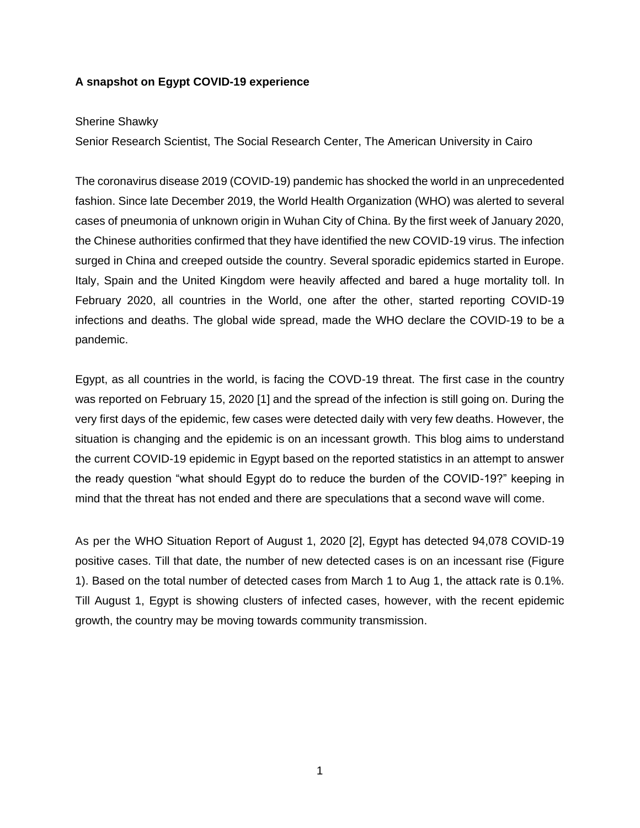# **A snapshot on Egypt COVID-19 experience**

## Sherine Shawky

Senior Research Scientist, The Social Research Center, The American University in Cairo

The coronavirus disease 2019 (COVID-19) pandemic has shocked the world in an unprecedented fashion. Since late December 2019, the World Health Organization (WHO) was alerted to several cases of pneumonia of unknown origin in Wuhan City of China. By the first week of January 2020, the Chinese authorities confirmed that they have identified the new COVID-19 virus. The infection surged in China and creeped outside the country. Several sporadic epidemics started in Europe. Italy, Spain and the United Kingdom were heavily affected and bared a huge mortality toll. In February 2020, all countries in the World, one after the other, started reporting COVID-19 infections and deaths. The global wide spread, made the WHO declare the COVID-19 to be a pandemic.

Egypt, as all countries in the world, is facing the COVD-19 threat. The first case in the country was reported on February 15, 2020 [1] and the spread of the infection is still going on. During the very first days of the epidemic, few cases were detected daily with very few deaths. However, the situation is changing and the epidemic is on an incessant growth. This blog aims to understand the current COVID-19 epidemic in Egypt based on the reported statistics in an attempt to answer the ready question "what should Egypt do to reduce the burden of the COVID-19?" keeping in mind that the threat has not ended and there are speculations that a second wave will come.

As per the WHO Situation Report of August 1, 2020 [2], Egypt has detected 94,078 COVID-19 positive cases. Till that date, the number of new detected cases is on an incessant rise (Figure 1). Based on the total number of detected cases from March 1 to Aug 1, the attack rate is 0.1%. Till August 1, Egypt is showing clusters of infected cases, however, with the recent epidemic growth, the country may be moving towards community transmission.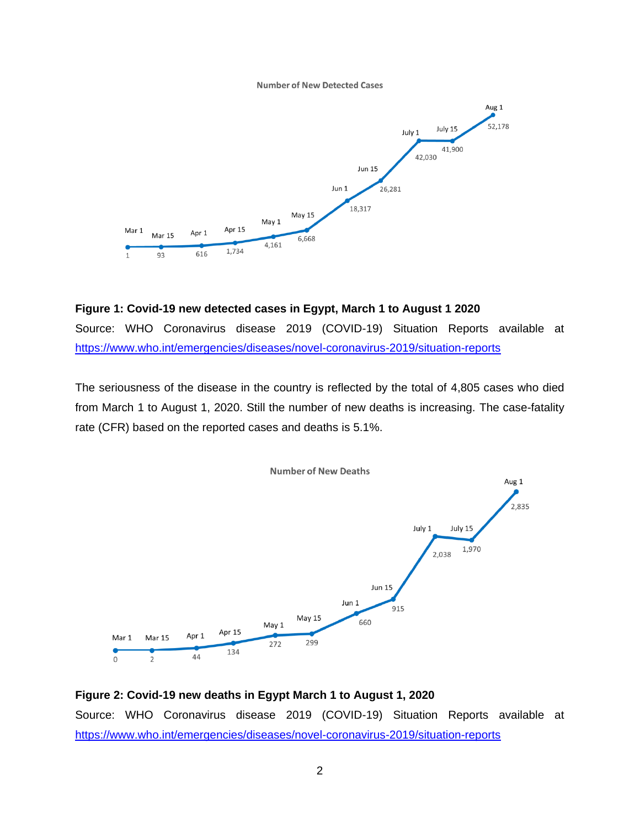#### **Number of New Detected Cases**



### **Figure 1: Covid-19 new detected cases in Egypt, March 1 to August 1 2020**

Source: WHO Coronavirus disease 2019 (COVID-19) Situation Reports available at <https://www.who.int/emergencies/diseases/novel-coronavirus-2019/situation-reports>

The seriousness of the disease in the country is reflected by the total of 4,805 cases who died from March 1 to August 1, 2020. Still the number of new deaths is increasing. The case-fatality rate (CFR) based on the reported cases and deaths is 5.1%.



**Figure 2: Covid-19 new deaths in Egypt March 1 to August 1, 2020** Source: WHO Coronavirus disease 2019 (COVID-19) Situation Reports available at <https://www.who.int/emergencies/diseases/novel-coronavirus-2019/situation-reports>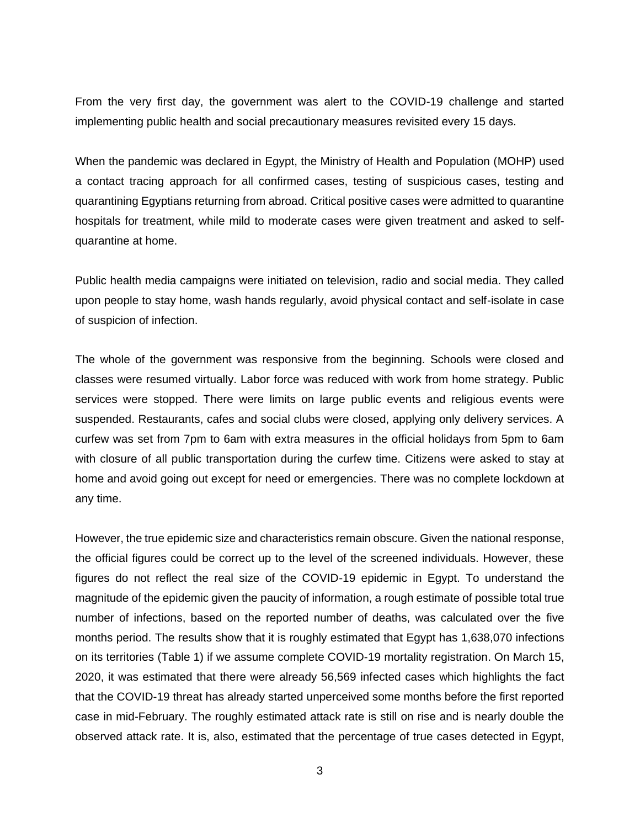From the very first day, the government was alert to the COVID-19 challenge and started implementing public health and social precautionary measures revisited every 15 days.

When the pandemic was declared in Egypt, the Ministry of Health and Population (MOHP) used a contact tracing approach for all confirmed cases, testing of suspicious cases, testing and quarantining Egyptians returning from abroad. Critical positive cases were admitted to quarantine hospitals for treatment, while mild to moderate cases were given treatment and asked to selfquarantine at home.

Public health media campaigns were initiated on television, radio and social media. They called upon people to stay home, wash hands regularly, avoid physical contact and self-isolate in case of suspicion of infection.

The whole of the government was responsive from the beginning. Schools were closed and classes were resumed virtually. Labor force was reduced with work from home strategy. Public services were stopped. There were limits on large public events and religious events were suspended. Restaurants, cafes and social clubs were closed, applying only delivery services. A curfew was set from 7pm to 6am with extra measures in the official holidays from 5pm to 6am with closure of all public transportation during the curfew time. Citizens were asked to stay at home and avoid going out except for need or emergencies. There was no complete lockdown at any time.

However, the true epidemic size and characteristics remain obscure. Given the national response, the official figures could be correct up to the level of the screened individuals. However, these figures do not reflect the real size of the COVID-19 epidemic in Egypt. To understand the magnitude of the epidemic given the paucity of information, a rough estimate of possible total true number of infections, based on the reported number of deaths, was calculated over the five months period. The results show that it is roughly estimated that Egypt has 1,638,070 infections on its territories (Table 1) if we assume complete COVID-19 mortality registration. On March 15, 2020, it was estimated that there were already 56,569 infected cases which highlights the fact that the COVID-19 threat has already started unperceived some months before the first reported case in mid-February. The roughly estimated attack rate is still on rise and is nearly double the observed attack rate. It is, also, estimated that the percentage of true cases detected in Egypt,

3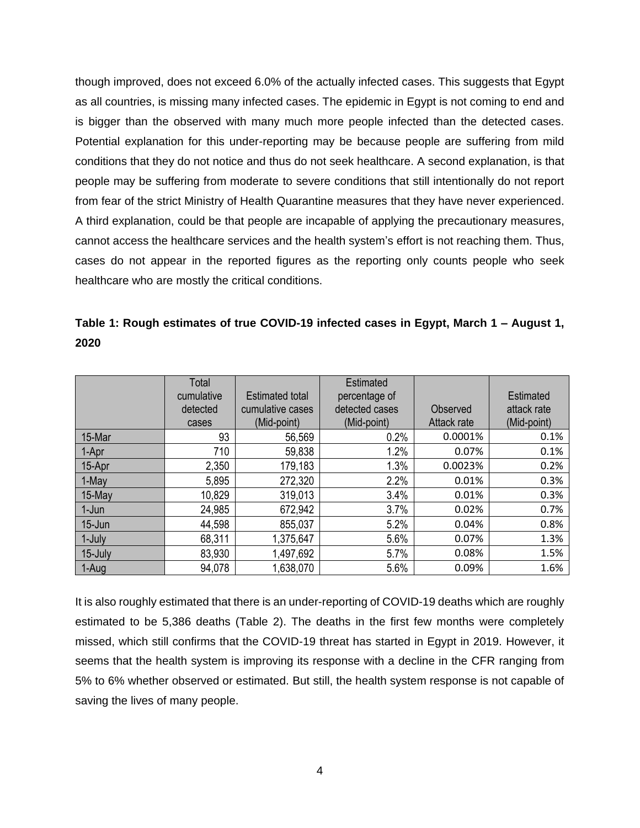though improved, does not exceed 6.0% of the actually infected cases. This suggests that Egypt as all countries, is missing many infected cases. The epidemic in Egypt is not coming to end and is bigger than the observed with many much more people infected than the detected cases. Potential explanation for this under-reporting may be because people are suffering from mild conditions that they do not notice and thus do not seek healthcare. A second explanation, is that people may be suffering from moderate to severe conditions that still intentionally do not report from fear of the strict Ministry of Health Quarantine measures that they have never experienced. A third explanation, could be that people are incapable of applying the precautionary measures, cannot access the healthcare services and the health system's effort is not reaching them. Thus, cases do not appear in the reported figures as the reporting only counts people who seek healthcare who are mostly the critical conditions.

| Table 1: Rough estimates of true COVID-19 infected cases in Egypt, March 1 – August 1, |  |  |  |  |
|----------------------------------------------------------------------------------------|--|--|--|--|
| 2020                                                                                   |  |  |  |  |

|         | <b>Total</b><br>cumulative<br>detected<br>cases | Estimated total<br>cumulative cases<br>(Mid-point) | <b>Estimated</b><br>percentage of<br>detected cases<br>(Mid-point) | Observed<br>Attack rate | Estimated<br>attack rate<br>(Mid-point) |
|---------|-------------------------------------------------|----------------------------------------------------|--------------------------------------------------------------------|-------------------------|-----------------------------------------|
| 15-Mar  | 93                                              | 56,569                                             | 0.2%                                                               | 0.0001%                 | 0.1%                                    |
| 1-Apr   | 710                                             | 59,838                                             | 1.2%                                                               | 0.07%                   | 0.1%                                    |
| 15-Apr  | 2,350                                           | 179,183                                            | 1.3%                                                               | 0.0023%                 | 0.2%                                    |
| 1-May   | 5,895                                           | 272,320                                            | 2.2%                                                               | 0.01%                   | 0.3%                                    |
| 15-May  | 10,829                                          | 319,013                                            | 3.4%                                                               | 0.01%                   | 0.3%                                    |
| 1-Jun   | 24,985                                          | 672,942                                            | 3.7%                                                               | 0.02%                   | 0.7%                                    |
| 15-Jun  | 44,598                                          | 855,037                                            | 5.2%                                                               | 0.04%                   | 0.8%                                    |
| 1-July  | 68,311                                          | 1,375,647                                          | 5.6%                                                               | 0.07%                   | 1.3%                                    |
| 15-July | 83,930                                          | 1,497,692                                          | 5.7%                                                               | 0.08%                   | 1.5%                                    |
| 1-Aug   | 94,078                                          | 1,638,070                                          | 5.6%                                                               | 0.09%                   | 1.6%                                    |

It is also roughly estimated that there is an under-reporting of COVID-19 deaths which are roughly estimated to be 5,386 deaths (Table 2). The deaths in the first few months were completely missed, which still confirms that the COVID-19 threat has started in Egypt in 2019. However, it seems that the health system is improving its response with a decline in the CFR ranging from 5% to 6% whether observed or estimated. But still, the health system response is not capable of saving the lives of many people.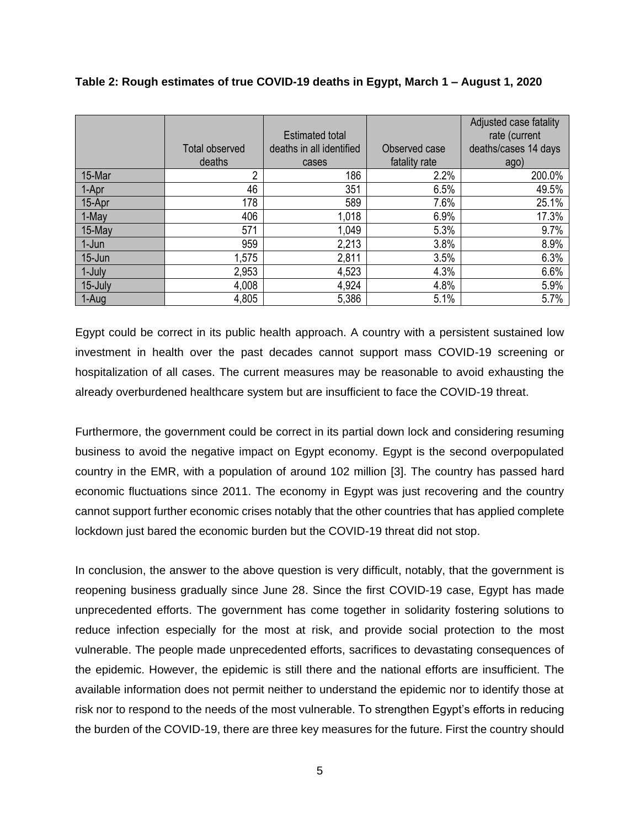|           | <b>Total observed</b><br>deaths | Estimated total<br>deaths in all identified<br>cases | Observed case<br>fatality rate | Adjusted case fatality<br>rate (current<br>deaths/cases 14 days<br>ago) |
|-----------|---------------------------------|------------------------------------------------------|--------------------------------|-------------------------------------------------------------------------|
| 15-Mar    | 2                               | 186                                                  | 2.2%                           | 200.0%                                                                  |
| 1-Apr     | 46                              | 351                                                  | 6.5%                           | 49.5%                                                                   |
| 15-Apr    | 178                             | 589                                                  | 7.6%                           | 25.1%                                                                   |
| 1-May     | 406                             | 1,018                                                | 6.9%                           | 17.3%                                                                   |
| 15-May    | 571                             | 1,049                                                | 5.3%                           | 9.7%                                                                    |
| 1-Jun     | 959                             | 2,213                                                | 3.8%                           | 8.9%                                                                    |
| $15$ -Jun | 1,575                           | 2,811                                                | 3.5%                           | 6.3%                                                                    |
| 1-July    | 2,953                           | 4,523                                                | 4.3%                           | 6.6%                                                                    |
| 15-July   | 4,008                           | 4,924                                                | 4.8%                           | 5.9%                                                                    |
| 1-Aug     | 4,805                           | 5,386                                                | 5.1%                           | 5.7%                                                                    |

### **Table 2: Rough estimates of true COVID-19 deaths in Egypt, March 1 – August 1, 2020**

Egypt could be correct in its public health approach. A country with a persistent sustained low investment in health over the past decades cannot support mass COVID-19 screening or hospitalization of all cases. The current measures may be reasonable to avoid exhausting the already overburdened healthcare system but are insufficient to face the COVID-19 threat.

Furthermore, the government could be correct in its partial down lock and considering resuming business to avoid the negative impact on Egypt economy. Egypt is the second overpopulated country in the EMR, with a population of around 102 million [3]. The country has passed hard economic fluctuations since 2011. The economy in Egypt was just recovering and the country cannot support further economic crises notably that the other countries that has applied complete lockdown just bared the economic burden but the COVID-19 threat did not stop.

In conclusion, the answer to the above question is very difficult, notably, that the government is reopening business gradually since June 28. Since the first COVID-19 case, Egypt has made unprecedented efforts. The government has come together in solidarity fostering solutions to reduce infection especially for the most at risk, and provide social protection to the most vulnerable. The people made unprecedented efforts, sacrifices to devastating consequences of the epidemic. However, the epidemic is still there and the national efforts are insufficient. The available information does not permit neither to understand the epidemic nor to identify those at risk nor to respond to the needs of the most vulnerable. To strengthen Egypt's efforts in reducing the burden of the COVID-19, there are three key measures for the future. First the country should